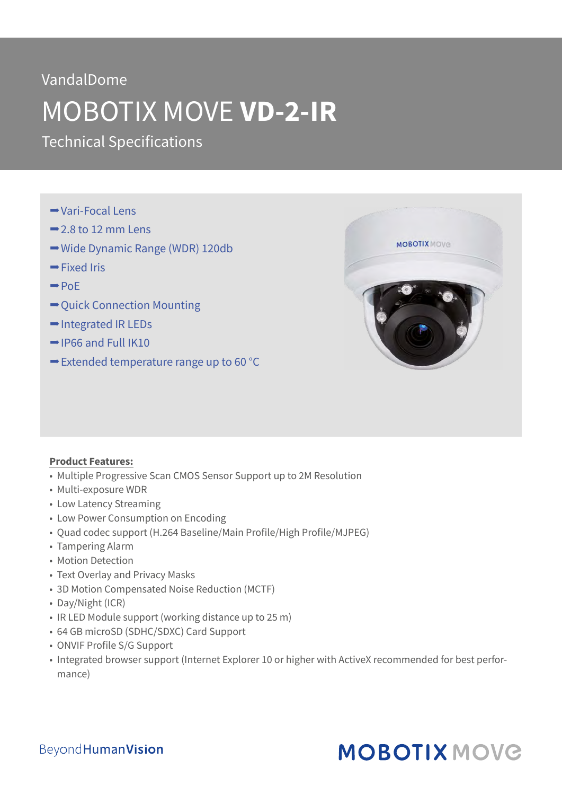### VandalDome

# MOBOTIX MOVE **VD-2-IR**

Technical Specifications

- Vari-Focal Lens
- $\rightarrow$  2.8 to 12 mm Lens
- **→ Wide Dynamic Range (WDR) 120db**
- $\rightarrow$  Fixed Iris
- $\rightarrow$  PoF
- **→ Quick Connection Mounting**
- **→ Integrated IR LEDs**
- $\rightarrow$  IP66 and Full IK10
- $\rightarrow$  **Extended temperature range up to 60 °C**



#### **Product Features:**

- Multiple Progressive Scan CMOS Sensor Support up to 2M Resolution
- Multi-exposure WDR
- Low Latency Streaming
- Low Power Consumption on Encoding
- Quad codec support (H.264 Baseline/Main Profile/High Profile/MJPEG)
- Tampering Alarm
- Motion Detection
- Text Overlay and Privacy Masks
- 3D Motion Compensated Noise Reduction (MCTF)
- Day/Night (ICR)
- IR LED Module support (working distance up to 25 m)
- 64 GB microSD (SDHC/SDXC) Card Support
- ONVIF Profile S/G Support
- Integrated browser support (Internet Explorer 10 or higher with ActiveX recommended for best performance)

### **MOBOTIX MOVG**

#### **BeyondHumanVision**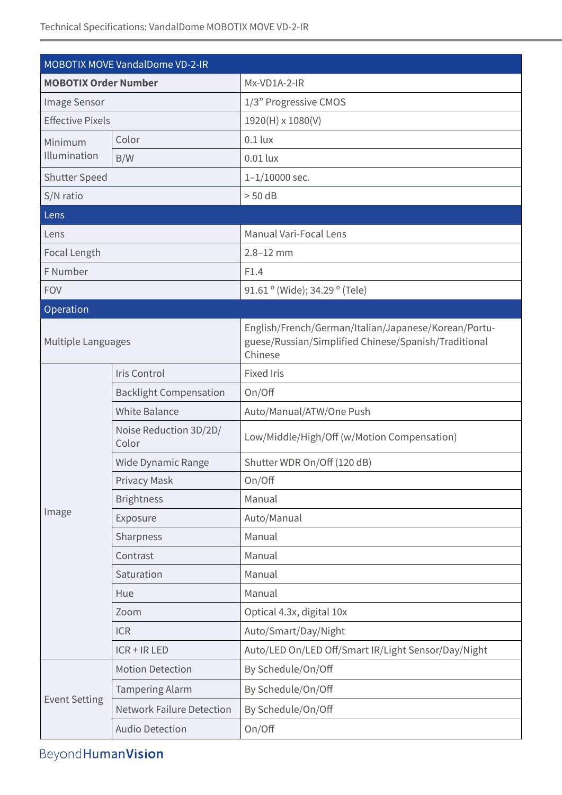| <b>MOBOTIX Order Number</b><br>Mx-VD1A-2-IR<br>1/3" Progressive CMOS<br>Image Sensor<br><b>Effective Pixels</b><br>1920(H) x 1080(V)<br>Color<br>$0.1$ lux<br>Minimum<br>Illumination<br>$0.01$ lux<br>B/W<br>Shutter Speed<br>$1 - 1/10000$ sec.<br>S/N ratio<br>$> 50$ dB<br>Lens<br>Manual Vari-Focal Lens<br>Lens<br>Focal Length<br>$2.8 - 12$ mm<br>F Number<br>F1.4<br>91.61 ° (Wide); 34.29 ° (Tele)<br><b>FOV</b><br>Operation<br>English/French/German/Italian/Japanese/Korean/Portu-<br>guese/Russian/Simplified Chinese/Spanish/Traditional<br>Multiple Languages<br>Chinese<br>Iris Control<br><b>Fixed Iris</b><br><b>Backlight Compensation</b><br>On/Off<br><b>White Balance</b><br>Auto/Manual/ATW/One Push<br>Noise Reduction 3D/2D/<br>Low/Middle/High/Off (w/Motion Compensation)<br>Color<br>Shutter WDR On/Off (120 dB)<br>Wide Dynamic Range<br>Privacy Mask<br>On/Off<br>Manual<br><b>Brightness</b><br>Image<br>Auto/Manual<br>Exposure<br>Manual<br>Sharpness<br>Contrast<br>Manual<br>Saturation<br>Manual<br>Manual<br>Hue<br>Optical 4.3x, digital 10x<br>Zoom<br><b>ICR</b><br>Auto/Smart/Day/Night<br>Auto/LED On/LED Off/Smart IR/Light Sensor/Day/Night<br>$ICR + IR LED$<br>By Schedule/On/Off<br><b>Motion Detection</b><br>By Schedule/On/Off<br><b>Tampering Alarm</b><br><b>Event Setting</b><br><b>Network Failure Detection</b><br>By Schedule/On/Off<br>On/Off<br><b>Audio Detection</b> | <b>MOBOTIX MOVE VandalDome VD-2-IR</b> |  |  |  |  |
|-----------------------------------------------------------------------------------------------------------------------------------------------------------------------------------------------------------------------------------------------------------------------------------------------------------------------------------------------------------------------------------------------------------------------------------------------------------------------------------------------------------------------------------------------------------------------------------------------------------------------------------------------------------------------------------------------------------------------------------------------------------------------------------------------------------------------------------------------------------------------------------------------------------------------------------------------------------------------------------------------------------------------------------------------------------------------------------------------------------------------------------------------------------------------------------------------------------------------------------------------------------------------------------------------------------------------------------------------------------------------------------------------------------------------------------|----------------------------------------|--|--|--|--|
|                                                                                                                                                                                                                                                                                                                                                                                                                                                                                                                                                                                                                                                                                                                                                                                                                                                                                                                                                                                                                                                                                                                                                                                                                                                                                                                                                                                                                                   |                                        |  |  |  |  |
|                                                                                                                                                                                                                                                                                                                                                                                                                                                                                                                                                                                                                                                                                                                                                                                                                                                                                                                                                                                                                                                                                                                                                                                                                                                                                                                                                                                                                                   |                                        |  |  |  |  |
|                                                                                                                                                                                                                                                                                                                                                                                                                                                                                                                                                                                                                                                                                                                                                                                                                                                                                                                                                                                                                                                                                                                                                                                                                                                                                                                                                                                                                                   |                                        |  |  |  |  |
|                                                                                                                                                                                                                                                                                                                                                                                                                                                                                                                                                                                                                                                                                                                                                                                                                                                                                                                                                                                                                                                                                                                                                                                                                                                                                                                                                                                                                                   |                                        |  |  |  |  |
|                                                                                                                                                                                                                                                                                                                                                                                                                                                                                                                                                                                                                                                                                                                                                                                                                                                                                                                                                                                                                                                                                                                                                                                                                                                                                                                                                                                                                                   |                                        |  |  |  |  |
|                                                                                                                                                                                                                                                                                                                                                                                                                                                                                                                                                                                                                                                                                                                                                                                                                                                                                                                                                                                                                                                                                                                                                                                                                                                                                                                                                                                                                                   |                                        |  |  |  |  |
|                                                                                                                                                                                                                                                                                                                                                                                                                                                                                                                                                                                                                                                                                                                                                                                                                                                                                                                                                                                                                                                                                                                                                                                                                                                                                                                                                                                                                                   |                                        |  |  |  |  |
|                                                                                                                                                                                                                                                                                                                                                                                                                                                                                                                                                                                                                                                                                                                                                                                                                                                                                                                                                                                                                                                                                                                                                                                                                                                                                                                                                                                                                                   |                                        |  |  |  |  |
|                                                                                                                                                                                                                                                                                                                                                                                                                                                                                                                                                                                                                                                                                                                                                                                                                                                                                                                                                                                                                                                                                                                                                                                                                                                                                                                                                                                                                                   |                                        |  |  |  |  |
|                                                                                                                                                                                                                                                                                                                                                                                                                                                                                                                                                                                                                                                                                                                                                                                                                                                                                                                                                                                                                                                                                                                                                                                                                                                                                                                                                                                                                                   |                                        |  |  |  |  |
|                                                                                                                                                                                                                                                                                                                                                                                                                                                                                                                                                                                                                                                                                                                                                                                                                                                                                                                                                                                                                                                                                                                                                                                                                                                                                                                                                                                                                                   |                                        |  |  |  |  |
|                                                                                                                                                                                                                                                                                                                                                                                                                                                                                                                                                                                                                                                                                                                                                                                                                                                                                                                                                                                                                                                                                                                                                                                                                                                                                                                                                                                                                                   |                                        |  |  |  |  |
|                                                                                                                                                                                                                                                                                                                                                                                                                                                                                                                                                                                                                                                                                                                                                                                                                                                                                                                                                                                                                                                                                                                                                                                                                                                                                                                                                                                                                                   |                                        |  |  |  |  |
|                                                                                                                                                                                                                                                                                                                                                                                                                                                                                                                                                                                                                                                                                                                                                                                                                                                                                                                                                                                                                                                                                                                                                                                                                                                                                                                                                                                                                                   |                                        |  |  |  |  |
|                                                                                                                                                                                                                                                                                                                                                                                                                                                                                                                                                                                                                                                                                                                                                                                                                                                                                                                                                                                                                                                                                                                                                                                                                                                                                                                                                                                                                                   |                                        |  |  |  |  |
|                                                                                                                                                                                                                                                                                                                                                                                                                                                                                                                                                                                                                                                                                                                                                                                                                                                                                                                                                                                                                                                                                                                                                                                                                                                                                                                                                                                                                                   |                                        |  |  |  |  |
|                                                                                                                                                                                                                                                                                                                                                                                                                                                                                                                                                                                                                                                                                                                                                                                                                                                                                                                                                                                                                                                                                                                                                                                                                                                                                                                                                                                                                                   |                                        |  |  |  |  |
|                                                                                                                                                                                                                                                                                                                                                                                                                                                                                                                                                                                                                                                                                                                                                                                                                                                                                                                                                                                                                                                                                                                                                                                                                                                                                                                                                                                                                                   |                                        |  |  |  |  |
|                                                                                                                                                                                                                                                                                                                                                                                                                                                                                                                                                                                                                                                                                                                                                                                                                                                                                                                                                                                                                                                                                                                                                                                                                                                                                                                                                                                                                                   |                                        |  |  |  |  |
|                                                                                                                                                                                                                                                                                                                                                                                                                                                                                                                                                                                                                                                                                                                                                                                                                                                                                                                                                                                                                                                                                                                                                                                                                                                                                                                                                                                                                                   |                                        |  |  |  |  |
|                                                                                                                                                                                                                                                                                                                                                                                                                                                                                                                                                                                                                                                                                                                                                                                                                                                                                                                                                                                                                                                                                                                                                                                                                                                                                                                                                                                                                                   |                                        |  |  |  |  |
|                                                                                                                                                                                                                                                                                                                                                                                                                                                                                                                                                                                                                                                                                                                                                                                                                                                                                                                                                                                                                                                                                                                                                                                                                                                                                                                                                                                                                                   |                                        |  |  |  |  |
|                                                                                                                                                                                                                                                                                                                                                                                                                                                                                                                                                                                                                                                                                                                                                                                                                                                                                                                                                                                                                                                                                                                                                                                                                                                                                                                                                                                                                                   |                                        |  |  |  |  |
|                                                                                                                                                                                                                                                                                                                                                                                                                                                                                                                                                                                                                                                                                                                                                                                                                                                                                                                                                                                                                                                                                                                                                                                                                                                                                                                                                                                                                                   |                                        |  |  |  |  |
|                                                                                                                                                                                                                                                                                                                                                                                                                                                                                                                                                                                                                                                                                                                                                                                                                                                                                                                                                                                                                                                                                                                                                                                                                                                                                                                                                                                                                                   |                                        |  |  |  |  |
|                                                                                                                                                                                                                                                                                                                                                                                                                                                                                                                                                                                                                                                                                                                                                                                                                                                                                                                                                                                                                                                                                                                                                                                                                                                                                                                                                                                                                                   |                                        |  |  |  |  |
|                                                                                                                                                                                                                                                                                                                                                                                                                                                                                                                                                                                                                                                                                                                                                                                                                                                                                                                                                                                                                                                                                                                                                                                                                                                                                                                                                                                                                                   |                                        |  |  |  |  |
|                                                                                                                                                                                                                                                                                                                                                                                                                                                                                                                                                                                                                                                                                                                                                                                                                                                                                                                                                                                                                                                                                                                                                                                                                                                                                                                                                                                                                                   |                                        |  |  |  |  |
|                                                                                                                                                                                                                                                                                                                                                                                                                                                                                                                                                                                                                                                                                                                                                                                                                                                                                                                                                                                                                                                                                                                                                                                                                                                                                                                                                                                                                                   |                                        |  |  |  |  |
|                                                                                                                                                                                                                                                                                                                                                                                                                                                                                                                                                                                                                                                                                                                                                                                                                                                                                                                                                                                                                                                                                                                                                                                                                                                                                                                                                                                                                                   |                                        |  |  |  |  |
|                                                                                                                                                                                                                                                                                                                                                                                                                                                                                                                                                                                                                                                                                                                                                                                                                                                                                                                                                                                                                                                                                                                                                                                                                                                                                                                                                                                                                                   |                                        |  |  |  |  |
|                                                                                                                                                                                                                                                                                                                                                                                                                                                                                                                                                                                                                                                                                                                                                                                                                                                                                                                                                                                                                                                                                                                                                                                                                                                                                                                                                                                                                                   |                                        |  |  |  |  |
|                                                                                                                                                                                                                                                                                                                                                                                                                                                                                                                                                                                                                                                                                                                                                                                                                                                                                                                                                                                                                                                                                                                                                                                                                                                                                                                                                                                                                                   |                                        |  |  |  |  |

Beyond Human Vision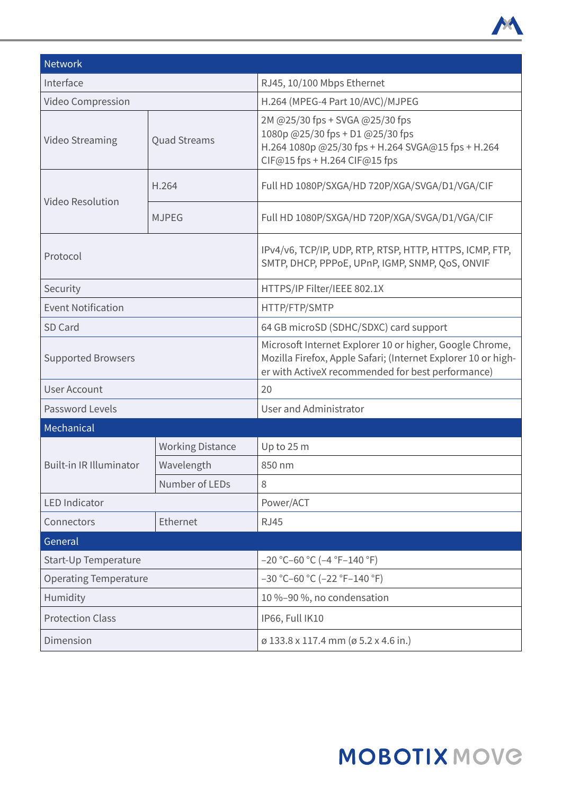

| <b>Network</b>                 |                         |                                                                                                                                                                                |  |  |
|--------------------------------|-------------------------|--------------------------------------------------------------------------------------------------------------------------------------------------------------------------------|--|--|
| Interface                      |                         | RJ45, 10/100 Mbps Ethernet                                                                                                                                                     |  |  |
| Video Compression              |                         | H.264 (MPEG-4 Part 10/AVC)/MJPEG                                                                                                                                               |  |  |
| Video Streaming                | <b>Quad Streams</b>     | 2M @25/30 fps + SVGA @25/30 fps<br>1080p @25/30 fps + D1 @25/30 fps<br>H.264 1080p @25/30 fps + H.264 SVGA@15 fps + H.264<br>CIF@15 fps + H.264 CIF@15 fps                     |  |  |
| <b>Video Resolution</b>        | H.264                   | Full HD 1080P/SXGA/HD 720P/XGA/SVGA/D1/VGA/CIF                                                                                                                                 |  |  |
|                                | <b>MJPEG</b>            | Full HD 1080P/SXGA/HD 720P/XGA/SVGA/D1/VGA/CIF                                                                                                                                 |  |  |
| Protocol                       |                         | IPv4/v6, TCP/IP, UDP, RTP, RTSP, HTTP, HTTPS, ICMP, FTP,<br>SMTP, DHCP, PPPoE, UPnP, IGMP, SNMP, QoS, ONVIF                                                                    |  |  |
| Security                       |                         | HTTPS/IP Filter/IEEE 802.1X                                                                                                                                                    |  |  |
| <b>Event Notification</b>      |                         | HTTP/FTP/SMTP                                                                                                                                                                  |  |  |
| SD Card                        |                         | 64 GB microSD (SDHC/SDXC) card support                                                                                                                                         |  |  |
| <b>Supported Browsers</b>      |                         | Microsoft Internet Explorer 10 or higher, Google Chrome,<br>Mozilla Firefox, Apple Safari; (Internet Explorer 10 or high-<br>er with ActiveX recommended for best performance) |  |  |
| <b>User Account</b>            |                         | 20                                                                                                                                                                             |  |  |
| Password Levels                |                         | User and Administrator                                                                                                                                                         |  |  |
| Mechanical                     |                         |                                                                                                                                                                                |  |  |
|                                | <b>Working Distance</b> | Up to 25 m                                                                                                                                                                     |  |  |
| <b>Built-in IR Illuminator</b> | Wavelength              | 850 nm                                                                                                                                                                         |  |  |
|                                | Number of LEDs          | 8                                                                                                                                                                              |  |  |
| <b>LED Indicator</b>           |                         | Power/ACT                                                                                                                                                                      |  |  |
| Connectors                     | Ethernet                | <b>RJ45</b>                                                                                                                                                                    |  |  |
| General                        |                         |                                                                                                                                                                                |  |  |
| Start-Up Temperature           |                         | $-20$ °C-60 °C (-4 °F-140 °F)                                                                                                                                                  |  |  |
| <b>Operating Temperature</b>   |                         | $-30$ °C-60 °C (-22 °F-140 °F)                                                                                                                                                 |  |  |
| Humidity                       |                         | 10 %-90 %, no condensation                                                                                                                                                     |  |  |
| <b>Protection Class</b>        |                         | IP66, Full IK10                                                                                                                                                                |  |  |
| Dimension                      |                         | ø 133.8 x 117.4 mm (ø 5.2 x 4.6 in.)                                                                                                                                           |  |  |

## **MOBOTIX MOVG**